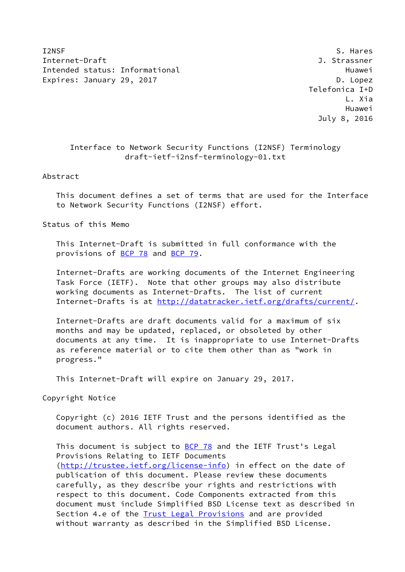I2NSF S. Hares S. Hares S. Hares S. Hares S. Hares S. Hares S. Hares S. Hares S. Hares Internet-Draft J. Strassner Intended status: Informational example and the Huawei Huawei Expires: January 29, 2017 **D. Logger Communist Communist Communist Communist Communist Communist Communist Communist Communist Communist Communist Communist Communist Communist Communist Communist Communist Communist Commu** 

 Telefonica I+D L. Xia Huawei July 8, 2016

# Interface to Network Security Functions (I2NSF) Terminology draft-ietf-i2nsf-terminology-01.txt

## Abstract

 This document defines a set of terms that are used for the Interface to Network Security Functions (I2NSF) effort.

Status of this Memo

 This Internet-Draft is submitted in full conformance with the provisions of [BCP 78](https://datatracker.ietf.org/doc/pdf/bcp78) and [BCP 79](https://datatracker.ietf.org/doc/pdf/bcp79).

 Internet-Drafts are working documents of the Internet Engineering Task Force (IETF). Note that other groups may also distribute working documents as Internet-Drafts. The list of current Internet-Drafts is at<http://datatracker.ietf.org/drafts/current/>.

 Internet-Drafts are draft documents valid for a maximum of six months and may be updated, replaced, or obsoleted by other documents at any time. It is inappropriate to use Internet-Drafts as reference material or to cite them other than as "work in progress."

This Internet-Draft will expire on January 29, 2017.

Copyright Notice

 Copyright (c) 2016 IETF Trust and the persons identified as the document authors. All rights reserved.

This document is subject to **[BCP 78](https://datatracker.ietf.org/doc/pdf/bcp78)** and the IETF Trust's Legal Provisions Relating to IETF Documents [\(http://trustee.ietf.org/license-info](http://trustee.ietf.org/license-info)) in effect on the date of publication of this document. Please review these documents carefully, as they describe your rights and restrictions with respect to this document. Code Components extracted from this document must include Simplified BSD License text as described in Section 4.e of the **[Trust Legal Provisions](https://trustee.ietf.org/license-info)** and are provided without warranty as described in the Simplified BSD License.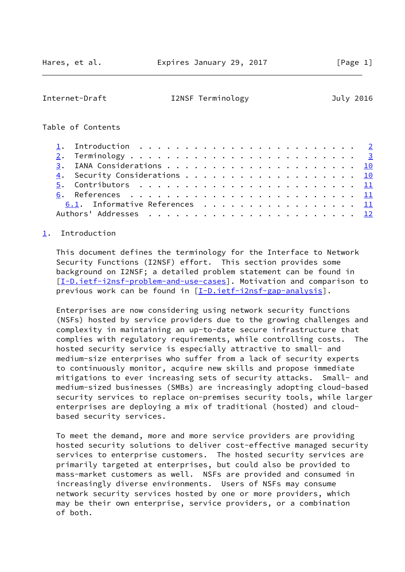#### <span id="page-1-1"></span>Internet-Draft I2NSF Terminology July 2016

## Table of Contents

|  | 1. Introduction $\ldots \ldots \ldots \ldots \ldots \ldots \ldots \ldots \ldots$                |  |  |  |  |
|--|-------------------------------------------------------------------------------------------------|--|--|--|--|
|  |                                                                                                 |  |  |  |  |
|  |                                                                                                 |  |  |  |  |
|  |                                                                                                 |  |  |  |  |
|  | 5. Contributors $\ldots \ldots \ldots \ldots \ldots \ldots \ldots \ldots \ldots \underline{11}$ |  |  |  |  |
|  |                                                                                                 |  |  |  |  |
|  | 6.1. Informative References 11                                                                  |  |  |  |  |
|  |                                                                                                 |  |  |  |  |

# <span id="page-1-0"></span>[1](#page-1-0). Introduction

 This document defines the terminology for the Interface to Network Security Functions (I2NSF) effort. This section provides some background on I2NSF; a detailed problem statement can be found in [\[I-D.ietf-i2nsf-problem-and-use-cases](#page-11-6)]. Motivation and comparison to previous work can be found in [[I-D.ietf-i2nsf-gap-analysis](#page-11-7)].

 Enterprises are now considering using network security functions (NSFs) hosted by service providers due to the growing challenges and complexity in maintaining an up-to-date secure infrastructure that complies with regulatory requirements, while controlling costs. The hosted security service is especially attractive to small- and medium-size enterprises who suffer from a lack of security experts to continuously monitor, acquire new skills and propose immediate mitigations to ever increasing sets of security attacks. Small- and medium-sized businesses (SMBs) are increasingly adopting cloud-based security services to replace on-premises security tools, while larger enterprises are deploying a mix of traditional (hosted) and cloud based security services.

 To meet the demand, more and more service providers are providing hosted security solutions to deliver cost-effective managed security services to enterprise customers. The hosted security services are primarily targeted at enterprises, but could also be provided to mass-market customers as well. NSFs are provided and consumed in increasingly diverse environments. Users of NSFs may consume network security services hosted by one or more providers, which may be their own enterprise, service providers, or a combination of both.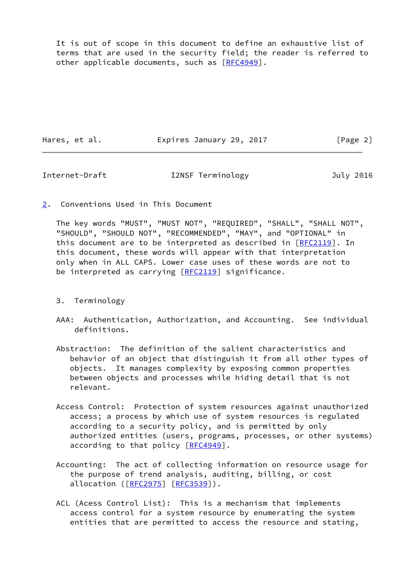It is out of scope in this document to define an exhaustive list of terms that are used in the security field; the reader is referred to other applicable documents, such as [\[RFC4949](https://datatracker.ietf.org/doc/pdf/rfc4949)].

Hares, et al. **Expires January 29, 2017** [Page 2]

<span id="page-2-1"></span>Internet-Draft I2NSF Terminology July 2016

<span id="page-2-0"></span>[2](#page-2-0). Conventions Used in This Document

 The key words "MUST", "MUST NOT", "REQUIRED", "SHALL", "SHALL NOT", "SHOULD", "SHOULD NOT", "RECOMMENDED", "MAY", and "OPTIONAL" in this document are to be interpreted as described in [\[RFC2119](https://datatracker.ietf.org/doc/pdf/rfc2119)]. In this document, these words will appear with that interpretation only when in ALL CAPS. Lower case uses of these words are not to be interpreted as carrying  $[REC2119]$  significance.

- 3. Terminology
- AAA: Authentication, Authorization, and Accounting. See individual definitions.
- Abstraction: The definition of the salient characteristics and behavior of an object that distinguish it from all other types of objects. It manages complexity by exposing common properties between objects and processes while hiding detail that is not relevant.
- Access Control: Protection of system resources against unauthorized access; a process by which use of system resources is regulated according to a security policy, and is permitted by only authorized entities (users, programs, processes, or other systems) according to that policy [\[RFC4949](https://datatracker.ietf.org/doc/pdf/rfc4949)].
- Accounting: The act of collecting information on resource usage for the purpose of trend analysis, auditing, billing, or cost allocation ([\[RFC2975](https://datatracker.ietf.org/doc/pdf/rfc2975)] [\[RFC3539](https://datatracker.ietf.org/doc/pdf/rfc3539)]).
- ACL (Acess Control List): This is a mechanism that implements access control for a system resource by enumerating the system entities that are permitted to access the resource and stating,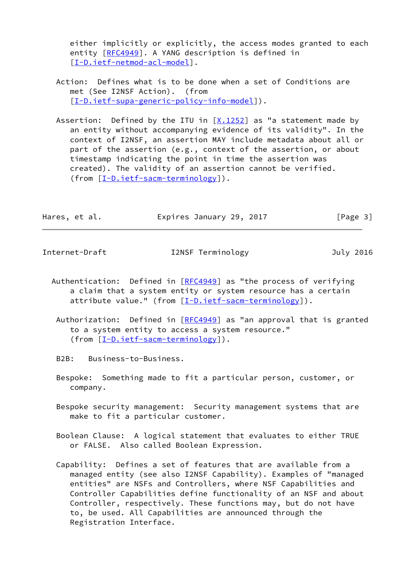either implicitly or explicitly, the access modes granted to each entity [[RFC4949](https://datatracker.ietf.org/doc/pdf/rfc4949)]. A YANG description is defined in [[I-D.ietf-netmod-acl-model\]](#page-12-1).

- Action: Defines what is to be done when a set of Conditions are met (See I2NSF Action). (from [[I-D.ietf-supa-generic-policy-info-model\]](#page-12-2)).
- Assertion: Defined by the ITU in  $[X.1252]$  $[X.1252]$  $[X.1252]$  as "a statement made by an entity without accompanying evidence of its validity". In the context of I2NSF, an assertion MAY include metadata about all or part of the assertion (e.g., context of the assertion, or about timestamp indicating the point in time the assertion was created). The validity of an assertion cannot be verified. (from [\[I-D.ietf-sacm-terminology\]](#page-12-4)).

| Hares, et al. | Expires January 29, 2017 | [Page 3] |
|---------------|--------------------------|----------|
|               |                          |          |

Internet-Draft I2NSF Terminology July 2016

- Authentication: Defined in  $[REC4949]$  as "the process of verifying a claim that a system entity or system resource has a certain attribute value." (from [[I-D.ietf-sacm-terminology\]](#page-12-4)).
	- Authorization: Defined in  $[REC4949]$  as "an approval that is granted to a system entity to access a system resource." (from [\[I-D.ietf-sacm-terminology\]](#page-12-4)).
	- B2B: Business-to-Business.
	- Bespoke: Something made to fit a particular person, customer, or company.
	- Bespoke security management: Security management systems that are make to fit a particular customer.
	- Boolean Clause: A logical statement that evaluates to either TRUE or FALSE. Also called Boolean Expression.
	- Capability: Defines a set of features that are available from a managed entity (see also I2NSF Capability). Examples of "managed entities" are NSFs and Controllers, where NSF Capabilities and Controller Capabilities define functionality of an NSF and about Controller, respectively. These functions may, but do not have to, be used. All Capabilities are announced through the Registration Interface.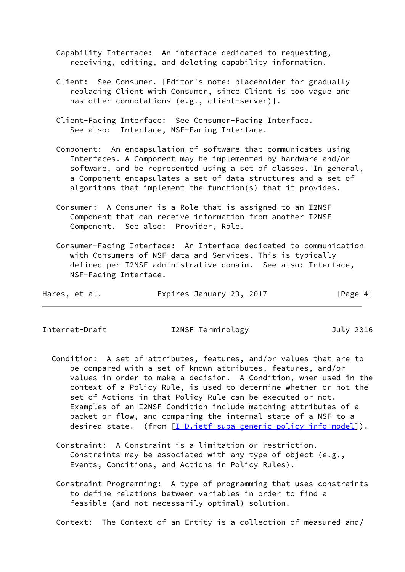Capability Interface: An interface dedicated to requesting, receiving, editing, and deleting capability information.

- Client: See Consumer. [Editor's note: placeholder for gradually replacing Client with Consumer, since Client is too vague and has other connotations (e.g., client-server)].
- Client-Facing Interface: See Consumer-Facing Interface. See also: Interface, NSF-Facing Interface.
- Component: An encapsulation of software that communicates using Interfaces. A Component may be implemented by hardware and/or software, and be represented using a set of classes. In general, a Component encapsulates a set of data structures and a set of algorithms that implement the function(s) that it provides.
- Consumer: A Consumer is a Role that is assigned to an I2NSF Component that can receive information from another I2NSF Component. See also: Provider, Role.
- Consumer-Facing Interface: An Interface dedicated to communication with Consumers of NSF data and Services. This is typically defined per I2NSF administrative domain. See also: Interface, NSF-Facing Interface.

| Hares, et al. | Expires January 29, 2017 | [Page 4] |
|---------------|--------------------------|----------|
|---------------|--------------------------|----------|

#### Internet-Draft I2NSF Terminology July 2016

- Condition: A set of attributes, features, and/or values that are to be compared with a set of known attributes, features, and/or values in order to make a decision. A Condition, when used in the context of a Policy Rule, is used to determine whether or not the set of Actions in that Policy Rule can be executed or not. Examples of an I2NSF Condition include matching attributes of a packet or flow, and comparing the internal state of a NSF to a desired state. (from [\[I-D.ietf-supa-generic-policy-info-model](#page-12-2)]).
	- Constraint: A Constraint is a limitation or restriction. Constraints may be associated with any type of object (e.g., Events, Conditions, and Actions in Policy Rules).
	- Constraint Programming: A type of programming that uses constraints to define relations between variables in order to find a feasible (and not necessarily optimal) solution.

Context: The Context of an Entity is a collection of measured and/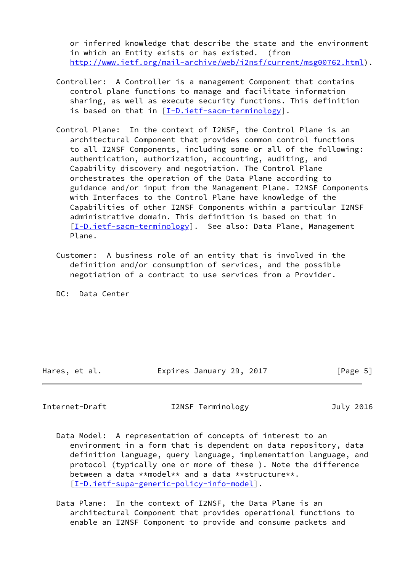or inferred knowledge that describe the state and the environment in which an Entity exists or has existed. (from [http://www.ietf.org/mail-archive/web/i2nsf/current/msg00762.html\)](http://www.ietf.org/mail-archive/web/i2nsf/current/msg00762.html).

- Controller: A Controller is a management Component that contains control plane functions to manage and facilitate information sharing, as well as execute security functions. This definition is based on that in [\[I-D.ietf-sacm-terminology](#page-12-4)].
- Control Plane: In the context of I2NSF, the Control Plane is an architectural Component that provides common control functions to all I2NSF Components, including some or all of the following: authentication, authorization, accounting, auditing, and Capability discovery and negotiation. The Control Plane orchestrates the operation of the Data Plane according to guidance and/or input from the Management Plane. I2NSF Components with Interfaces to the Control Plane have knowledge of the Capabilities of other I2NSF Components within a particular I2NSF administrative domain. This definition is based on that in [[I-D.ietf-sacm-terminology\]](#page-12-4). See also: Data Plane, Management Plane.
- Customer: A business role of an entity that is involved in the definition and/or consumption of services, and the possible negotiation of a contract to use services from a Provider.

DC: Data Center

Hares, et al. **Expires January 29, 2017** [Page 5]

Internet-Draft I2NSF Terminology July 2016

- Data Model: A representation of concepts of interest to an environment in a form that is dependent on data repository, data definition language, query language, implementation language, and protocol (typically one or more of these ). Note the difference between a data \*\*model\*\* and a data \*\*structure\*\*. [[I-D.ietf-supa-generic-policy-info-model\]](#page-12-2).
- Data Plane: In the context of I2NSF, the Data Plane is an architectural Component that provides operational functions to enable an I2NSF Component to provide and consume packets and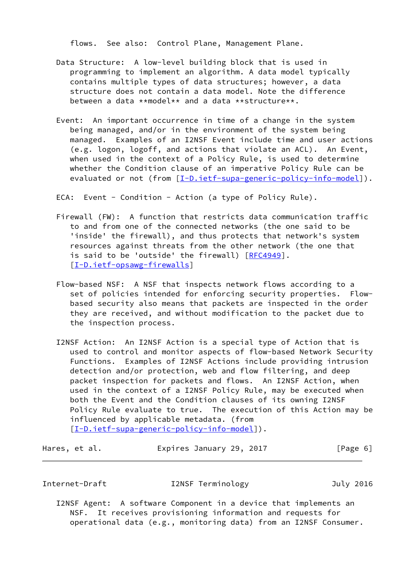flows. See also: Control Plane, Management Plane.

- Data Structure: A low-level building block that is used in programming to implement an algorithm. A data model typically contains multiple types of data structures; however, a data structure does not contain a data model. Note the difference between a data  $*$  model  $**$  and a data  $**$ structure  $**$ .
- Event: An important occurrence in time of a change in the system being managed, and/or in the environment of the system being managed. Examples of an I2NSF Event include time and user actions (e.g. logon, logoff, and actions that violate an ACL). An Event, when used in the context of a Policy Rule, is used to determine whether the Condition clause of an imperative Policy Rule can be evaluated or not (from [[I-D.ietf-supa-generic-policy-info-model](#page-12-2)]).

ECA: Event - Condition - Action (a type of Policy Rule).

- Firewall (FW): A function that restricts data communication traffic to and from one of the connected networks (the one said to be 'inside' the firewall), and thus protects that network's system resources against threats from the other network (the one that is said to be 'outside' the firewall) [\[RFC4949](https://datatracker.ietf.org/doc/pdf/rfc4949)]. [[I-D.ietf-opsawg-firewalls\]](#page-12-5)
- Flow-based NSF: A NSF that inspects network flows according to a set of policies intended for enforcing security properties. Flow based security also means that packets are inspected in the order they are received, and without modification to the packet due to the inspection process.
- I2NSF Action: An I2NSF Action is a special type of Action that is used to control and monitor aspects of flow-based Network Security Functions. Examples of I2NSF Actions include providing intrusion detection and/or protection, web and flow filtering, and deep packet inspection for packets and flows. An I2NSF Action, when used in the context of a I2NSF Policy Rule, may be executed when both the Event and the Condition clauses of its owning I2NSF Policy Rule evaluate to true. The execution of this Action may be influenced by applicable metadata. (from [[I-D.ietf-supa-generic-policy-info-model\]](#page-12-2)).

| Hares, et al. | Expires January 29, 2017 | [Page 6] |
|---------------|--------------------------|----------|
|---------------|--------------------------|----------|

Internet-Draft I2NSF Terminology July 2016

 I2NSF Agent: A software Component in a device that implements an NSF. It receives provisioning information and requests for operational data (e.g., monitoring data) from an I2NSF Consumer.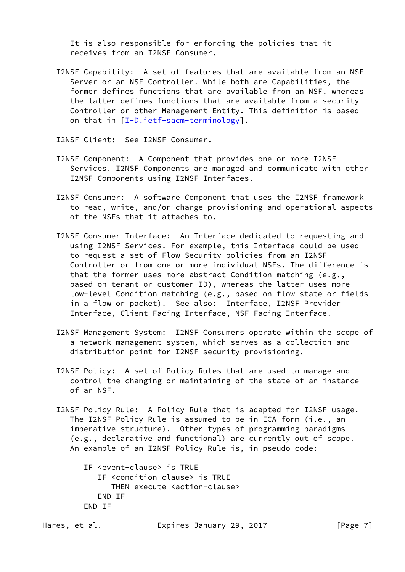It is also responsible for enforcing the policies that it receives from an I2NSF Consumer.

 I2NSF Capability: A set of features that are available from an NSF Server or an NSF Controller. While both are Capabilities, the former defines functions that are available from an NSF, whereas the latter defines functions that are available from a security Controller or other Management Entity. This definition is based on that in [[I-D.ietf-sacm-terminology\]](#page-12-4).

I2NSF Client: See I2NSF Consumer.

- I2NSF Component: A Component that provides one or more I2NSF Services. I2NSF Components are managed and communicate with other I2NSF Components using I2NSF Interfaces.
- I2NSF Consumer: A software Component that uses the I2NSF framework to read, write, and/or change provisioning and operational aspects of the NSFs that it attaches to.
- I2NSF Consumer Interface: An Interface dedicated to requesting and using I2NSF Services. For example, this Interface could be used to request a set of Flow Security policies from an I2NSF Controller or from one or more individual NSFs. The difference is that the former uses more abstract Condition matching (e.g., based on tenant or customer ID), whereas the latter uses more low-level Condition matching (e.g., based on flow state or fields in a flow or packet). See also: Interface, I2NSF Provider Interface, Client-Facing Interface, NSF-Facing Interface.
- I2NSF Management System: I2NSF Consumers operate within the scope of a network management system, which serves as a collection and distribution point for I2NSF security provisioning.
- I2NSF Policy: A set of Policy Rules that are used to manage and control the changing or maintaining of the state of an instance of an NSF.
- I2NSF Policy Rule: A Policy Rule that is adapted for I2NSF usage. The I2NSF Policy Rule is assumed to be in ECA form (i.e., an imperative structure). Other types of programming paradigms (e.g., declarative and functional) are currently out of scope. An example of an I2NSF Policy Rule is, in pseudo-code:

 IF <event-clause> is TRUE IF <condition-clause> is TRUE THEN execute <action-clause> END-IF END-IF

Hares, et al. **Expires January 29, 2017** [Page 7]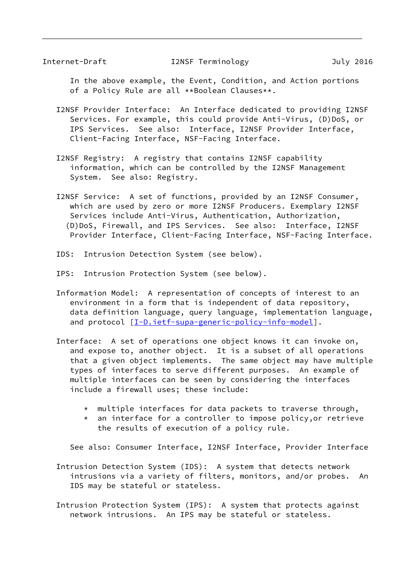Internet-Draft I2NSF Terminology July 2016

 In the above example, the Event, Condition, and Action portions of a Policy Rule are all \*\*Boolean Clauses\*\*.

- I2NSF Provider Interface: An Interface dedicated to providing I2NSF Services. For example, this could provide Anti-Virus, (D)DoS, or IPS Services. See also: Interface, I2NSF Provider Interface, Client-Facing Interface, NSF-Facing Interface.
- I2NSF Registry: A registry that contains I2NSF capability information, which can be controlled by the I2NSF Management System. See also: Registry.
- I2NSF Service: A set of functions, provided by an I2NSF Consumer, which are used by zero or more I2NSF Producers. Exemplary I2NSF Services include Anti-Virus, Authentication, Authorization, (D)DoS, Firewall, and IPS Services. See also: Interface, I2NSF Provider Interface, Client-Facing Interface, NSF-Facing Interface.
- IDS: Intrusion Detection System (see below).
- IPS: Intrusion Protection System (see below).
- Information Model: A representation of concepts of interest to an environment in a form that is independent of data repository, data definition language, query language, implementation language, and protocol [\[I-D.ietf-supa-generic-policy-info-model](#page-12-2)].
- Interface: A set of operations one object knows it can invoke on, and expose to, another object. It is a subset of all operations that a given object implements. The same object may have multiple types of interfaces to serve different purposes. An example of multiple interfaces can be seen by considering the interfaces include a firewall uses; these include:
	- \* multiple interfaces for data packets to traverse through,
	- \* an interface for a controller to impose policy,or retrieve the results of execution of a policy rule.

See also: Consumer Interface, I2NSF Interface, Provider Interface

 Intrusion Detection System (IDS): A system that detects network intrusions via a variety of filters, monitors, and/or probes. An IDS may be stateful or stateless.

 Intrusion Protection System (IPS): A system that protects against network intrusions. An IPS may be stateful or stateless.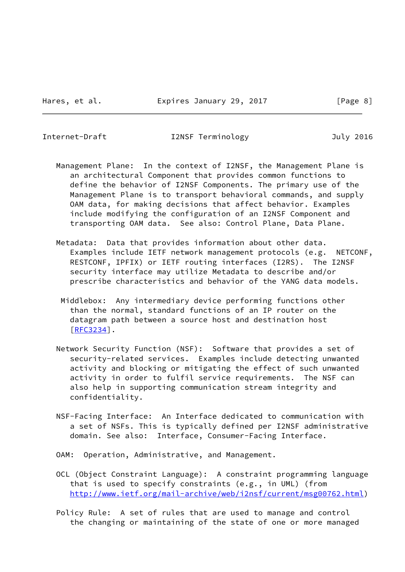Internet-Draft I2NSF Terminology July 2016

 Management Plane: In the context of I2NSF, the Management Plane is an architectural Component that provides common functions to define the behavior of I2NSF Components. The primary use of the Management Plane is to transport behavioral commands, and supply OAM data, for making decisions that affect behavior. Examples include modifying the configuration of an I2NSF Component and transporting OAM data. See also: Control Plane, Data Plane.

 Metadata: Data that provides information about other data. Examples include IETF network management protocols (e.g. NETCONF, RESTCONF, IPFIX) or IETF routing interfaces (I2RS). The I2NSF security interface may utilize Metadata to describe and/or prescribe characteristics and behavior of the YANG data models.

- Middlebox: Any intermediary device performing functions other than the normal, standard functions of an IP router on the datagram path between a source host and destination host [[RFC3234\]](https://datatracker.ietf.org/doc/pdf/rfc3234).
- Network Security Function (NSF): Software that provides a set of security-related services. Examples include detecting unwanted activity and blocking or mitigating the effect of such unwanted activity in order to fulfil service requirements. The NSF can also help in supporting communication stream integrity and confidentiality.
- NSF-Facing Interface: An Interface dedicated to communication with a set of NSFs. This is typically defined per I2NSF administrative domain. See also: Interface, Consumer-Facing Interface.
- OAM: Operation, Administrative, and Management.
- OCL (Object Constraint Language): A constraint programming language that is used to specify constraints (e.g., in UML) (from [http://www.ietf.org/mail-archive/web/i2nsf/current/msg00762.html\)](http://www.ietf.org/mail-archive/web/i2nsf/current/msg00762.html)
- Policy Rule: A set of rules that are used to manage and control the changing or maintaining of the state of one or more managed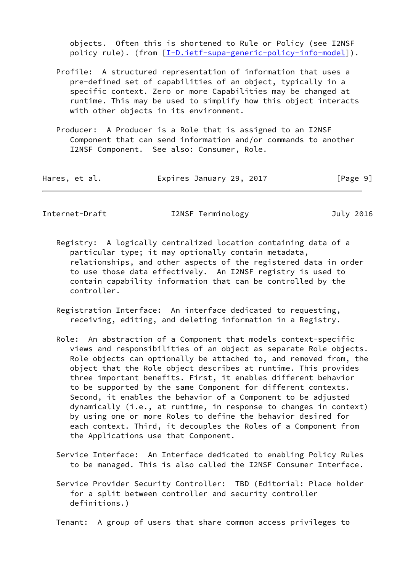objects. Often this is shortened to Rule or Policy (see I2NSF policy rule). (from  $[\underline{I-D.iett-supa-generic-policy-info-model}]$ ).

- Profile: A structured representation of information that uses a pre-defined set of capabilities of an object, typically in a specific context. Zero or more Capabilities may be changed at runtime. This may be used to simplify how this object interacts with other objects in its environment.
- Producer: A Producer is a Role that is assigned to an I2NSF Component that can send information and/or commands to another I2NSF Component. See also: Consumer, Role.

| Hares, et al. | Expires January 29, 2017 | [Page 9] |
|---------------|--------------------------|----------|
|---------------|--------------------------|----------|

<span id="page-10-0"></span>

| Internet-Draft | I2NSF Terminology | July 2016 |
|----------------|-------------------|-----------|
|----------------|-------------------|-----------|

- Registry: A logically centralized location containing data of a particular type; it may optionally contain metadata, relationships, and other aspects of the registered data in order to use those data effectively. An I2NSF registry is used to contain capability information that can be controlled by the controller.
- Registration Interface: An interface dedicated to requesting, receiving, editing, and deleting information in a Registry.
- Role: An abstraction of a Component that models context-specific views and responsibilities of an object as separate Role objects. Role objects can optionally be attached to, and removed from, the object that the Role object describes at runtime. This provides three important benefits. First, it enables different behavior to be supported by the same Component for different contexts. Second, it enables the behavior of a Component to be adjusted dynamically (i.e., at runtime, in response to changes in context) by using one or more Roles to define the behavior desired for each context. Third, it decouples the Roles of a Component from the Applications use that Component.
- Service Interface: An Interface dedicated to enabling Policy Rules to be managed. This is also called the I2NSF Consumer Interface.
- Service Provider Security Controller: TBD (Editorial: Place holder for a split between controller and security controller definitions.)

Tenant: A group of users that share common access privileges to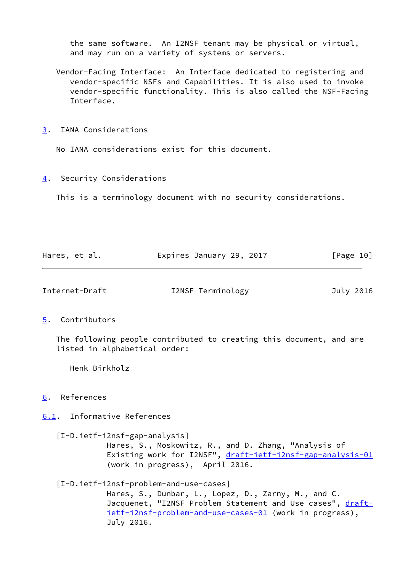the same software. An I2NSF tenant may be physical or virtual, and may run on a variety of systems or servers.

- Vendor-Facing Interface: An Interface dedicated to registering and vendor-specific NSFs and Capabilities. It is also used to invoke vendor-specific functionality. This is also called the NSF-Facing Interface.
- <span id="page-11-0"></span>[3](#page-11-0). IANA Considerations

No IANA considerations exist for this document.

<span id="page-11-1"></span>[4](#page-11-1). Security Considerations

This is a terminology document with no security considerations.

| Hares, et al. | Expires January 29, 2017 | [Page 10] |
|---------------|--------------------------|-----------|
|               |                          |           |

<span id="page-11-3"></span>

Internet-Draft I2NSF Terminology July 2016

## <span id="page-11-2"></span>[5](#page-11-2). Contributors

 The following people contributed to creating this document, and are listed in alphabetical order:

Henk Birkholz

# <span id="page-11-4"></span>[6](#page-11-4). References

<span id="page-11-5"></span>[6.1](#page-11-5). Informative References

<span id="page-11-7"></span> [I-D.ietf-i2nsf-gap-analysis] Hares, S., Moskowitz, R., and D. Zhang, "Analysis of Existing work for I2NSF", [draft-ietf-i2nsf-gap-analysis-01](https://datatracker.ietf.org/doc/pdf/draft-ietf-i2nsf-gap-analysis-01) (work in progress), April 2016.

<span id="page-11-6"></span>[I-D.ietf-i2nsf-problem-and-use-cases]

 Hares, S., Dunbar, L., Lopez, D., Zarny, M., and C. Jacquenet, "I2NSF Problem Statement and Use cases", [draft](https://datatracker.ietf.org/doc/pdf/draft-ietf-i2nsf-problem-and-use-cases-01) [ietf-i2nsf-problem-and-use-cases-01](https://datatracker.ietf.org/doc/pdf/draft-ietf-i2nsf-problem-and-use-cases-01) (work in progress), July 2016.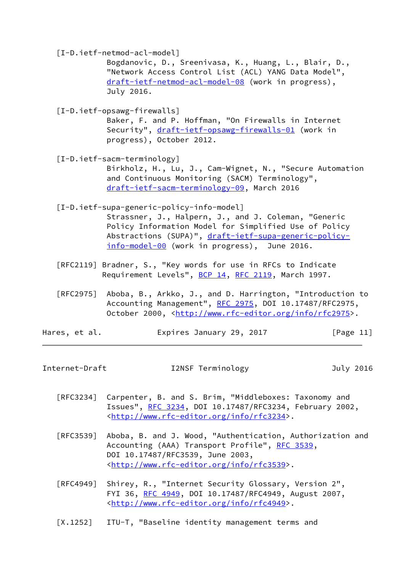<span id="page-12-5"></span><span id="page-12-4"></span><span id="page-12-2"></span><span id="page-12-1"></span> [I-D.ietf-netmod-acl-model] Bogdanovic, D., Sreenivasa, K., Huang, L., Blair, D., "Network Access Control List (ACL) YANG Data Model", [draft-ietf-netmod-acl-model-08](https://datatracker.ietf.org/doc/pdf/draft-ietf-netmod-acl-model-08) (work in progress), July 2016. [I-D.ietf-opsawg-firewalls] Baker, F. and P. Hoffman, "On Firewalls in Internet Security", [draft-ietf-opsawg-firewalls-01](https://datatracker.ietf.org/doc/pdf/draft-ietf-opsawg-firewalls-01) (work in progress), October 2012. [I-D.ietf-sacm-terminology] Birkholz, H., Lu, J., Cam-Wignet, N., "Secure Automation and Continuous Monitoring (SACM) Terminology", [draft-ietf-sacm-terminology-09](https://datatracker.ietf.org/doc/pdf/draft-ietf-sacm-terminology-09), March 2016 [I-D.ietf-supa-generic-policy-info-model] Strassner, J., Halpern, J., and J. Coleman, "Generic Policy Information Model for Simplified Use of Policy Abstractions (SUPA)", [draft-ietf-supa-generic-policy](https://datatracker.ietf.org/doc/pdf/draft-ietf-supa-generic-policy-info-model-00) [info-model-00](https://datatracker.ietf.org/doc/pdf/draft-ietf-supa-generic-policy-info-model-00) (work in progress), June 2016. [RFC2119] Bradner, S., "Key words for use in RFCs to Indicate Requirement Levels", [BCP 14](https://datatracker.ietf.org/doc/pdf/bcp14), [RFC 2119,](https://datatracker.ietf.org/doc/pdf/rfc2119) March 1997. [RFC2975] Aboba, B., Arkko, J., and D. Harrington, "Introduction to Accounting Management", [RFC 2975,](https://datatracker.ietf.org/doc/pdf/rfc2975) DOI 10.17487/RFC2975, October 2000, [<http://www.rfc-editor.org/info/rfc2975](http://www.rfc-editor.org/info/rfc2975)>. Hares, et al. **Expires January 29, 2017** [Page 11]

<span id="page-12-0"></span>Internet-Draft I2NSF Terminology July 2016

- [RFC3234] Carpenter, B. and S. Brim, "Middleboxes: Taxonomy and Issues", [RFC 3234,](https://datatracker.ietf.org/doc/pdf/rfc3234) DOI 10.17487/RFC3234, February 2002, <<http://www.rfc-editor.org/info/rfc3234>>.
- [RFC3539] Aboba, B. and J. Wood, "Authentication, Authorization and Accounting (AAA) Transport Profile", [RFC 3539](https://datatracker.ietf.org/doc/pdf/rfc3539), DOI 10.17487/RFC3539, June 2003, <<http://www.rfc-editor.org/info/rfc3539>>.
- [RFC4949] Shirey, R., "Internet Security Glossary, Version 2", FYI 36, [RFC 4949,](https://datatracker.ietf.org/doc/pdf/rfc4949) DOI 10.17487/RFC4949, August 2007, <<http://www.rfc-editor.org/info/rfc4949>>.
- <span id="page-12-3"></span>[X.1252] ITU-T, "Baseline identity management terms and